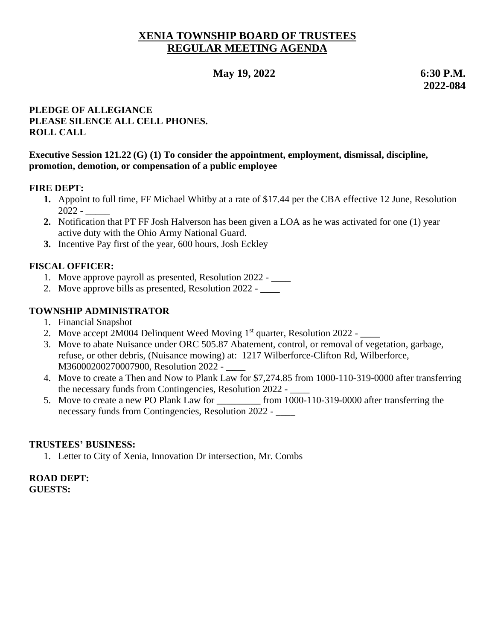# **XENIA TOWNSHIP BOARD OF TRUSTEES REGULAR MEETING AGENDA**

# **May** 19, 2022 6:30 **P.M.**

 **2022-084**

### **PLEDGE OF ALLEGIANCE PLEASE SILENCE ALL CELL PHONES. ROLL CALL**

#### **Executive Session 121.22 (G) (1) To consider the appointment, employment, dismissal, discipline, promotion, demotion, or compensation of a public employee**

#### **FIRE DEPT:**

- **1.** Appoint to full time, FF Michael Whitby at a rate of \$17.44 per the CBA effective 12 June, Resolution 2022 - \_\_\_\_\_
- **2.** Notification that PT FF Josh Halverson has been given a LOA as he was activated for one (1) year active duty with the Ohio Army National Guard.
- **3.** Incentive Pay first of the year, 600 hours, Josh Eckley

## **FISCAL OFFICER:**

- 1. Move approve payroll as presented, Resolution 2022 \_\_\_\_
- 2. Move approve bills as presented, Resolution 2022 \_\_\_\_\_

### **TOWNSHIP ADMINISTRATOR**

- 1. Financial Snapshot
- 2. Move accept 2M004 Delinquent Weed Moving 1<sup>st</sup> quarter, Resolution 2022 \_\_\_\_
- 3. Move to abate Nuisance under ORC 505.87 Abatement, control, or removal of vegetation, garbage, refuse, or other debris, (Nuisance mowing) at: 1217 Wilberforce-Clifton Rd, Wilberforce, M36000200270007900, Resolution 2022 -
- 4. Move to create a Then and Now to Plank Law for \$7,274.85 from 1000-110-319-0000 after transferring the necessary funds from Contingencies, Resolution 2022 -
- 5. Move to create a new PO Plank Law for \_\_\_\_\_\_\_\_\_ from 1000-110-319-0000 after transferring the necessary funds from Contingencies, Resolution 2022 -

### **TRUSTEES' BUSINESS:**

1. Letter to City of Xenia, Innovation Dr intersection, Mr. Combs

#### **ROAD DEPT: GUESTS:**